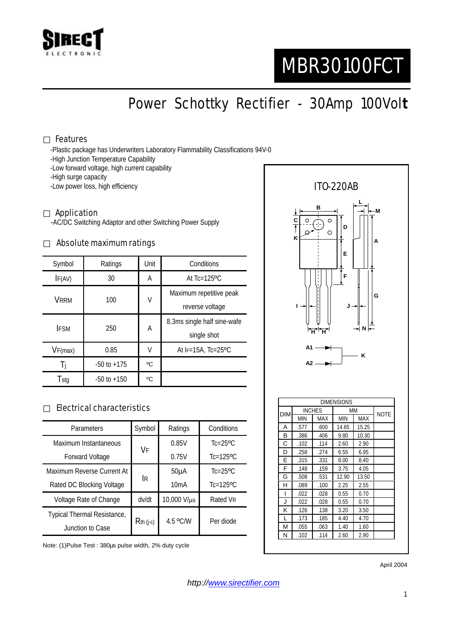

# MBR30100FCT

Power Schottky Rectifier - 30Amp 100Vol**t**

#### Features

-Plastic package has Underwriters Laboratory Flammability Classifications 94V-0

- -High Junction Temperature Capability
- -Low forward voltage, high current capability
- -High surge capacity

-Low power loss, high efficiency

#### Application

-AC/DC Switching Adaptor and other Switching Power Supply

#### Absolute maximum ratings

| Symbol      | Ratings         | Unit | Conditions                   |  |
|-------------|-----------------|------|------------------------------|--|
| IF(AV)      | 30              | А    | At $Tc=125$ <sup>o</sup> $C$ |  |
| VRRM        | 100             | V    | Maximum repetitive peak      |  |
|             |                 |      | reverse voltage              |  |
| <b>IFSM</b> | 250             | А    | 8.3ms single half sine-wafe  |  |
|             |                 |      | single shot                  |  |
| VF(max)     | 0.85            | V    | At $F=15A$ , Tc=25°C         |  |
|             | $-50$ to $+175$ | °C   |                              |  |
| Tstg        | $-50$ to $+150$ | °C   |                              |  |

#### Electrical characteristics

| Parameters                  | Symbol       | Ratings           | Conditions                 |
|-----------------------------|--------------|-------------------|----------------------------|
| Maximum Instantaneous       | VF           | 0.85V             | $Tc = 25$ <sup>o</sup> $C$ |
| <b>Forward Voltage</b>      |              | 0.75V             | $Tc=125$ <sup>o</sup> $C$  |
| Maximum Reverse Current At  | <b>IR</b>    | 50 <sub>µ</sub> A | $Tc=25$ <sup>o</sup> $C$   |
| Rated DC Blocking Voltage   |              | 10mA              | $Tc=125$ <sup>o</sup> $C$  |
| Voltage Rate of Change      | dv/dt        | 10,000 V/µs       | Rated VR                   |
| Typical Thermal Resistance, | $R$ th (j-c) | 4.5 °C/W          | Per diode                  |
| Junction to Case            |              |                   |                            |

Note: (1)Pulse Test : 380µs pulse width, 2% duty cycle



N .102 .114 2.60 2.90

April 2004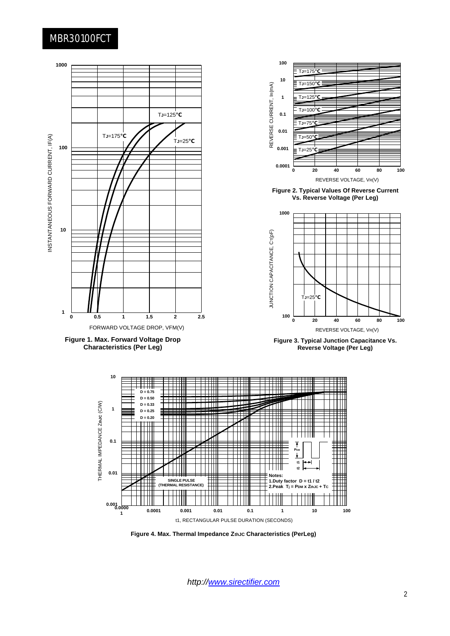### MBR30100FCT



*http://www.sirectifier.com*